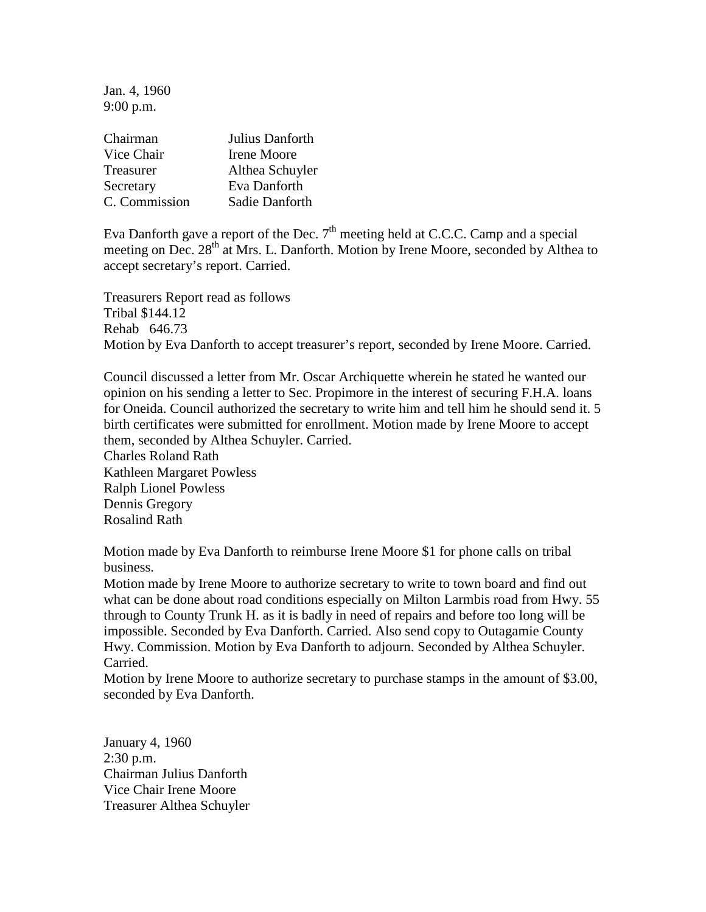Jan. 4, 1960 9:00 p.m.

| Chairman      | Julius Danforth |
|---------------|-----------------|
| Vice Chair    | Irene Moore     |
| Treasurer     | Althea Schuyler |
| Secretary     | Eva Danforth    |
| C. Commission | Sadie Danforth  |

Eva Danforth gave a report of the Dec.  $7<sup>th</sup>$  meeting held at C.C.C. Camp and a special meeting on Dec. 28<sup>th</sup> at Mrs. L. Danforth. Motion by Irene Moore, seconded by Althea to accept secretary's report. Carried.

Treasurers Report read as follows Tribal \$144.12 Rehab 646.73 Motion by Eva Danforth to accept treasurer's report, seconded by Irene Moore. Carried.

Council discussed a letter from Mr. Oscar Archiquette wherein he stated he wanted our opinion on his sending a letter to Sec. Propimore in the interest of securing F.H.A. loans for Oneida. Council authorized the secretary to write him and tell him he should send it. 5 birth certificates were submitted for enrollment. Motion made by Irene Moore to accept them, seconded by Althea Schuyler. Carried.

Charles Roland Rath Kathleen Margaret Powless Ralph Lionel Powless Dennis Gregory Rosalind Rath

Motion made by Eva Danforth to reimburse Irene Moore \$1 for phone calls on tribal business.

Motion made by Irene Moore to authorize secretary to write to town board and find out what can be done about road conditions especially on Milton Larmbis road from Hwy. 55 through to County Trunk H. as it is badly in need of repairs and before too long will be impossible. Seconded by Eva Danforth. Carried. Also send copy to Outagamie County Hwy. Commission. Motion by Eva Danforth to adjourn. Seconded by Althea Schuyler. Carried.

Motion by Irene Moore to authorize secretary to purchase stamps in the amount of \$3.00, seconded by Eva Danforth.

January 4, 1960 2:30 p.m. Chairman Julius Danforth Vice Chair Irene Moore Treasurer Althea Schuyler